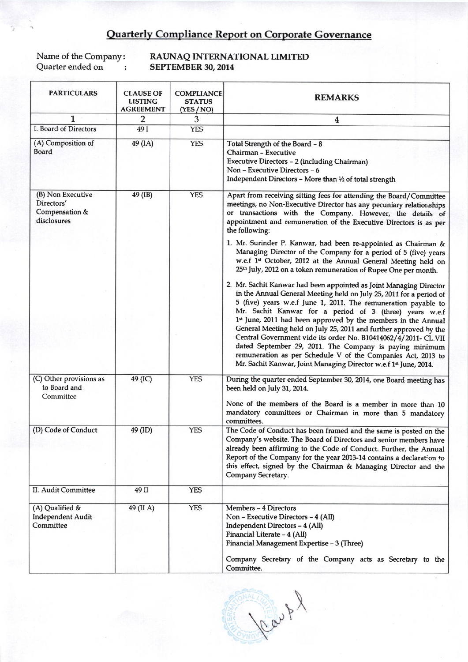## **Quarterly Compliance Report on Corporate Governance**

Name of the Company: Quarter ended on :

## RAUNAQ INTERNATIONAL LIMITED SEFIEMBER 30,2014

| <b>PARTICULARS</b>                                               | <b>CLAUSE OF</b><br><b>LISTING</b><br><b>AGREEMENT</b> | <b>COMPLIANCE</b><br><b>STATUS</b><br>(YES/NO) | <b>REMARKS</b>                                                                                                                                                                                                                                                                                                                                                                                                                                                                                                                                                                                                                                                                                                                                                                                                                                                                                                                                                                                                                                                                                                                                                                                   |
|------------------------------------------------------------------|--------------------------------------------------------|------------------------------------------------|--------------------------------------------------------------------------------------------------------------------------------------------------------------------------------------------------------------------------------------------------------------------------------------------------------------------------------------------------------------------------------------------------------------------------------------------------------------------------------------------------------------------------------------------------------------------------------------------------------------------------------------------------------------------------------------------------------------------------------------------------------------------------------------------------------------------------------------------------------------------------------------------------------------------------------------------------------------------------------------------------------------------------------------------------------------------------------------------------------------------------------------------------------------------------------------------------|
| 1                                                                | 2                                                      | 3                                              | 4                                                                                                                                                                                                                                                                                                                                                                                                                                                                                                                                                                                                                                                                                                                                                                                                                                                                                                                                                                                                                                                                                                                                                                                                |
| I. Board of Directors                                            | 49 I                                                   | <b>YES</b>                                     |                                                                                                                                                                                                                                                                                                                                                                                                                                                                                                                                                                                                                                                                                                                                                                                                                                                                                                                                                                                                                                                                                                                                                                                                  |
| (A) Composition of<br><b>Board</b>                               | 49 (IA)                                                | <b>YES</b>                                     | Total Strength of the Board - 8<br>Chairman - Executive<br>Executive Directors - 2 (including Chairman)<br>Non - Executive Directors - 6<br>Independent Directors - More than 1/2 of total strength                                                                                                                                                                                                                                                                                                                                                                                                                                                                                                                                                                                                                                                                                                                                                                                                                                                                                                                                                                                              |
| (B) Non Executive<br>Directors'<br>Compensation &<br>disclosures | 49 (IB)                                                | <b>YES</b>                                     | Apart from receiving sitting fees for attending the Board/Committee<br>meetings, no Non-Executive Director has any pecuniary relationships<br>or transactions with the Company. However, the details of<br>appointment and remuneration of the Executive Directors is as per<br>the following:<br>1. Mr. Surinder P. Kanwar, had been re-appointed as Chairman &<br>Managing Director of the Company for a period of 5 (five) years<br>w.e.f 1st October, 2012 at the Annual General Meeting held on<br>25 <sup>th</sup> July, 2012 on a token remuneration of Rupee One per month.<br>2. Mr. Sachit Kanwar had been appointed as Joint Managing Director<br>in the Annual General Meeting held on July 25, 2011 for a period of<br>5 (five) years w.e.f June 1, 2011. The remuneration payable to<br>Mr. Sachit Kanwar for a period of 3 (three) years w.e.f<br>1st June, 2011 had been approved by the members in the Annual<br>General Meeting held on July 25, 2011 and further approved by the<br>Central Government vide its order No. B10414062/4/2011- CL.VII<br>dated September 29, 2011. The Company is paying minimum<br>remuneration as per Schedule V of the Companies Act, 2013 to |
| (C) Other provisions as<br>to Board and<br>Committee             | 49 (IC)                                                | <b>YES</b>                                     | Mr. Sachit Kanwar, Joint Managing Director w.e.f 1st June, 2014.<br>During the quarter ended September 30, 2014, one Board meeting has<br>been held on July 31, 2014.<br>None of the members of the Board is a member in more than 10<br>mandatory committees or Chairman in more than 5 mandatory<br>committees.                                                                                                                                                                                                                                                                                                                                                                                                                                                                                                                                                                                                                                                                                                                                                                                                                                                                                |
| (D) Code of Conduct                                              | 49 (ID)                                                | <b>YES</b>                                     | The Code of Conduct has been framed and the same is posted on the<br>Company's website. The Board of Directors and senior members have<br>already been affirming to the Code of Conduct. Further, the Annual<br>Report of the Company for the year 2013-14 contains a declaration to<br>this effect, signed by the Chairman & Managing Director and the<br>Company Secretary.                                                                                                                                                                                                                                                                                                                                                                                                                                                                                                                                                                                                                                                                                                                                                                                                                    |
| II. Audit Committee                                              | 49 II                                                  | <b>YES</b>                                     |                                                                                                                                                                                                                                                                                                                                                                                                                                                                                                                                                                                                                                                                                                                                                                                                                                                                                                                                                                                                                                                                                                                                                                                                  |
| (A) Qualified &<br><b>Independent Audit</b><br>Committee         | 49 (II A)                                              | <b>YES</b>                                     | <b>Members - 4 Directors</b><br>Non - Executive Directors - 4 (All)<br>Independent Directors - 4 (All)<br>Financial Literate - 4 (All)<br>Financial Management Expertise - 3 (Three)<br>Company Secretary of the Company acts as Secretary to the<br>Committee.                                                                                                                                                                                                                                                                                                                                                                                                                                                                                                                                                                                                                                                                                                                                                                                                                                                                                                                                  |

Ray A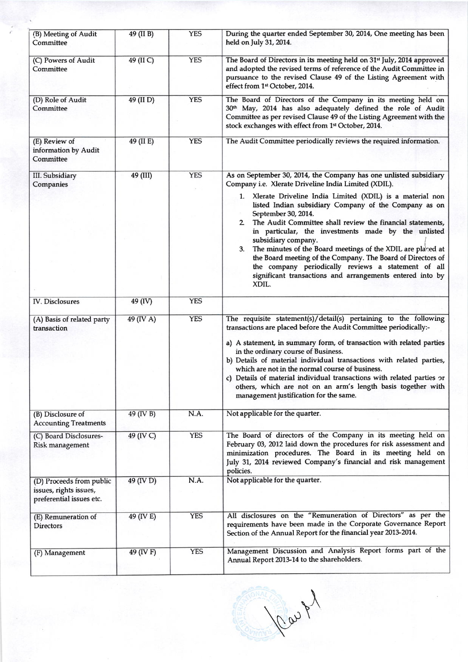| (B) Meeting of Audit<br>Committee                                              | 49 (II B) | <b>YES</b> | During the quarter ended September 30, 2014, One meeting has been<br>held on July 31, 2014.                                                                                                                                                                                                                                                                                                                                                                                                                                                                                                                                                                                                    |
|--------------------------------------------------------------------------------|-----------|------------|------------------------------------------------------------------------------------------------------------------------------------------------------------------------------------------------------------------------------------------------------------------------------------------------------------------------------------------------------------------------------------------------------------------------------------------------------------------------------------------------------------------------------------------------------------------------------------------------------------------------------------------------------------------------------------------------|
| (C) Powers of Audit<br>Committee                                               | 49 (II C) | <b>YES</b> | The Board of Directors in its meeting held on 31 <sup>st</sup> July, 2014 approved<br>and adopted the revised terms of reference of the Audit Committee in<br>pursuance to the revised Clause 49 of the Listing Agreement with<br>effect from 1st October, 2014.                                                                                                                                                                                                                                                                                                                                                                                                                               |
| (D) Role of Audit<br>Committee                                                 | 49 (II D) | <b>YES</b> | The Board of Directors of the Company in its meeting held on<br>30th May, 2014 has also adequately defined the role of Audit<br>Committee as per revised Clause 49 of the Listing Agreement with the<br>stock exchanges with effect from 1st October, 2014.                                                                                                                                                                                                                                                                                                                                                                                                                                    |
| (E) Review of<br>information by Audit<br>Committee                             | 49 (II E) | <b>YES</b> | The Audit Committee periodically reviews the required information.                                                                                                                                                                                                                                                                                                                                                                                                                                                                                                                                                                                                                             |
| III. Subsidiary<br>Companies                                                   | 49 (III)  | <b>YES</b> | As on September 30, 2014, the Company has one unlisted subsidiary<br>Company i.e. Xlerate Driveline India Limited (XDIL).<br>1. Xlerate Driveline India Limited (XDIL) is a material non<br>listed Indian subsidiary Company of the Company as on<br>September 30, 2014.<br>The Audit Committee shall review the financial statements,<br>$2 -$<br>in particular, the investments made by the unlisted<br>subsidiary company.<br>The minutes of the Board meetings of the XDIL are placed at<br>3.<br>the Board meeting of the Company. The Board of Directors of<br>the company periodically reviews a statement of all<br>significant transactions and arrangements entered into by<br>XDIL. |
| <b>IV.</b> Disclosures                                                         | 49 (IV)   | <b>YES</b> |                                                                                                                                                                                                                                                                                                                                                                                                                                                                                                                                                                                                                                                                                                |
| (A) Basis of related party<br>transaction                                      | 49 (IV A) | <b>YES</b> | The requisite statement(s)/detail(s) pertaining to the following<br>transactions are placed before the Audit Committee periodically:-<br>a) A statement, in summary form, of transaction with related parties<br>in the ordinary course of Business.<br>b) Details of material individual transactions with related parties,<br>which are not in the normal course of business.<br>c) Details of material individual transactions with related parties or<br>others, which are not on an arm's length basis together with<br>management justification for the same.                                                                                                                            |
| (B) Disclosure of<br><b>Accounting Treatments</b>                              | 49 (IV B) | N.A.       | Not applicable for the quarter.                                                                                                                                                                                                                                                                                                                                                                                                                                                                                                                                                                                                                                                                |
| (C) Board Disclosures-<br>Risk management                                      | 49 (IV C) | <b>YES</b> | The Board of directors of the Company in its meeting held on<br>February 03, 2012 laid down the procedures for risk assessment and<br>minimization procedures. The Board in its meeting held on<br>July 31, 2014 reviewed Company's financial and risk management<br>policies.                                                                                                                                                                                                                                                                                                                                                                                                                 |
| (D) Proceeds from public<br>issues, rights issues,<br>preferential issues etc. | 49 (IV D) | N.A.       | Not applicable for the quarter.                                                                                                                                                                                                                                                                                                                                                                                                                                                                                                                                                                                                                                                                |
| (E) Remuneration of<br><b>Directors</b>                                        | 49 (IV E) | <b>YES</b> | All disclosures on the "Remuneration of Directors" as per the<br>requirements have been made in the Corporate Governance Report<br>Section of the Annual Report for the financial year 2013-2014.                                                                                                                                                                                                                                                                                                                                                                                                                                                                                              |
| (F) Management                                                                 | 49 (IV F) | <b>YES</b> | Management Discussion and Analysis Report forms part of the<br>Annual Report 2013-14 to the shareholders.                                                                                                                                                                                                                                                                                                                                                                                                                                                                                                                                                                                      |

Veronis Caup